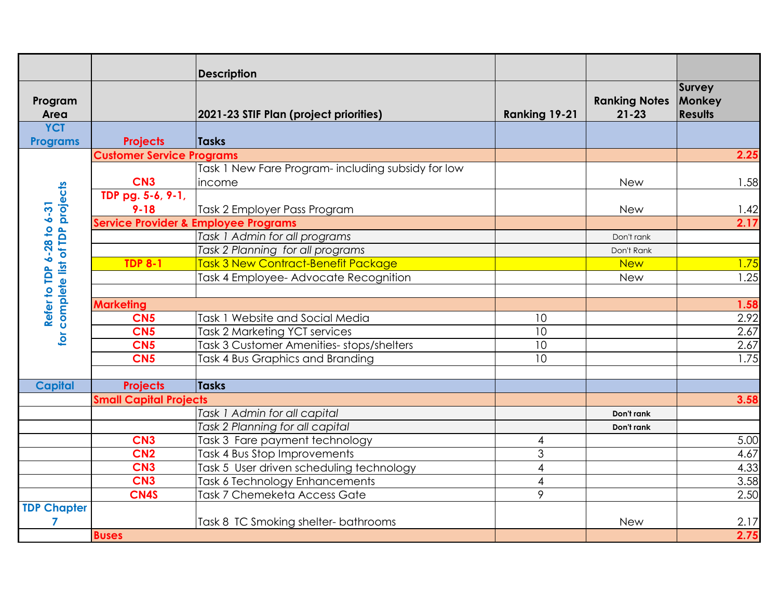|                                                           |                                      | <b>Description</b>                                 |                |                                   |                                           |
|-----------------------------------------------------------|--------------------------------------|----------------------------------------------------|----------------|-----------------------------------|-------------------------------------------|
| Program<br>Area                                           |                                      | 2021-23 STIF Plan (project priorities)             | Ranking 19-21  | <b>Ranking Notes</b><br>$21 - 23$ | <b>Survey</b><br>Monkey<br><b>Results</b> |
| <b>YCT</b>                                                |                                      |                                                    |                |                                   |                                           |
| <b>Programs</b>                                           | <b>Projects</b>                      | <b>Tasks</b>                                       |                |                                   |                                           |
|                                                           | <b>Customer Service Programs</b>     | Task 1 New Fare Program- including subsidy for low |                |                                   | 2.25                                      |
|                                                           |                                      |                                                    |                |                                   | 1.58                                      |
|                                                           | CN <sub>3</sub><br>TDP pg. 5-6, 9-1, | lincome                                            |                | <b>New</b>                        |                                           |
|                                                           | $9 - 18$                             | Task 2 Employer Pass Program                       |                | <b>New</b>                        |                                           |
| $6 - 31$                                                  |                                      | <b>Service Provider &amp; Employee Programs</b>    |                |                                   | 1.42<br>2.17                              |
|                                                           |                                      | Task 1 Admin for all programs                      |                | Don't rank                        |                                           |
|                                                           |                                      | Task 2 Planning for all programs                   |                | Don't Rank                        |                                           |
|                                                           | <b>TDP 8-1</b>                       | <b>Task 3 New Contract-Benefit Package</b>         |                | <b>New</b>                        | 1.75                                      |
|                                                           |                                      | Task 4 Employee- Advocate Recognition              |                | <b>New</b>                        | 1.25                                      |
|                                                           |                                      |                                                    |                |                                   |                                           |
| for complete list of TDP projects<br>Refer to TDP 6-28 to | <b>Marketing</b>                     |                                                    |                |                                   | 1.58                                      |
|                                                           | CN <sub>5</sub>                      | Task 1 Website and Social Media                    | 10             |                                   | 2.92                                      |
|                                                           | CN <sub>5</sub>                      | <b>Task 2 Marketing YCT services</b>               | 10             |                                   | 2.67                                      |
|                                                           | CN <sub>5</sub>                      | Task 3 Customer Amenities-stops/shelters           | 10             |                                   | 2.67                                      |
|                                                           | CN <sub>5</sub>                      | Task 4 Bus Graphics and Branding                   | 10             |                                   | 1.75                                      |
|                                                           |                                      |                                                    |                |                                   |                                           |
| <b>Capital</b>                                            | <b>Projects</b>                      | <b>Tasks</b>                                       |                |                                   |                                           |
|                                                           | <b>Small Capital Projects</b>        |                                                    |                |                                   | 3.58                                      |
|                                                           |                                      | Task 1 Admin for all capital                       |                | Don't rank                        |                                           |
|                                                           |                                      | Task 2 Planning for all capital                    |                | Don't rank                        |                                           |
|                                                           | CN <sub>3</sub>                      | Task 3 Fare payment technology                     | $\overline{4}$ |                                   | 5.00                                      |
|                                                           | CN <sub>2</sub>                      | Task 4 Bus Stop Improvements                       | 3              |                                   | 4.67                                      |
|                                                           | CN <sub>3</sub>                      | Task 5 User driven scheduling technology           | $\overline{4}$ |                                   | 4.33                                      |
|                                                           | CN <sub>3</sub>                      | Task 6 Technology Enhancements                     | $\overline{4}$ |                                   | 3.58                                      |
|                                                           | CN4S                                 | Task 7 Chemeketa Access Gate                       | 9              |                                   | 2.50                                      |
| <b>TDP Chapter</b>                                        |                                      |                                                    |                |                                   |                                           |
| 7                                                         |                                      | Task 8 TC Smoking shelter- bathrooms               |                | <b>New</b>                        | 2.17                                      |
|                                                           | <b>Buses</b>                         |                                                    |                |                                   | 2.75                                      |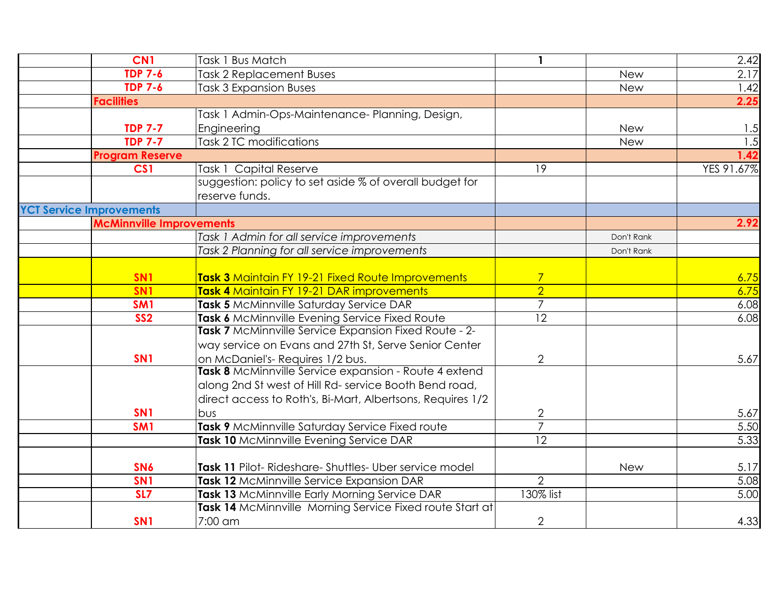| CN <sub>1</sub>                 | Task 1 Bus Match                                           | 1              |            | 2.42       |
|---------------------------------|------------------------------------------------------------|----------------|------------|------------|
| <b>TDP 7-6</b>                  | <b>Task 2 Replacement Buses</b>                            |                | <b>New</b> | 2.17       |
| <b>TDP 7-6</b>                  | Task 3 Expansion Buses                                     |                | <b>New</b> | 1.42       |
| <b>Facilities</b>               |                                                            |                |            | 2.25       |
|                                 | Task 1 Admin-Ops-Maintenance- Planning, Design,            |                |            |            |
| <b>TDP 7-7</b>                  | Engineering                                                |                | <b>New</b> | 1.5        |
| <b>TDP 7-7</b>                  | Task 2 TC modifications                                    |                | <b>New</b> | 1.5        |
| <b>Program Reserve</b>          |                                                            |                |            | 1.42       |
| CS <sub>1</sub>                 | Task 1 Capital Reserve                                     | 19             |            | YES 91.67% |
|                                 | suggestion: policy to set aside % of overall budget for    |                |            |            |
|                                 | reserve funds.                                             |                |            |            |
| <b>YCT Service Improvements</b> |                                                            |                |            |            |
| <b>McMinnville Improvements</b> |                                                            |                |            | 2.92       |
|                                 | Task 1 Admin for all service improvements                  |                | Don't Rank |            |
|                                 | Task 2 Planning for all service improvements               |                | Don't Rank |            |
|                                 |                                                            |                |            |            |
| SN <sub>1</sub>                 | Task 3 Maintain FY 19-21 Fixed Route Improvements          | 7              |            | 6.75       |
| SN <sub>1</sub>                 | Task 4 Maintain FY 19-21 DAR improvements                  | $\overline{2}$ |            | 6.75       |
| SM <sub>1</sub>                 | Task 5 McMinnville Saturday Service DAR                    | $\overline{7}$ |            | 6.08       |
| SS <sub>2</sub>                 | Task 6 McMinnville Evening Service Fixed Route             | 12             |            | 6.08       |
|                                 | Task 7 McMinnville Service Expansion Fixed Route - 2-      |                |            |            |
|                                 | way service on Evans and 27th St, Serve Senior Center      |                |            |            |
| SN <sub>1</sub>                 | on McDaniel's-Requires 1/2 bus.                            | $\overline{2}$ |            | 5.67       |
|                                 | Task 8 McMinnville Service expansion - Route 4 extend      |                |            |            |
|                                 | along 2nd St west of Hill Rd-service Booth Bend road,      |                |            |            |
|                                 | direct access to Roth's, Bi-Mart, Albertsons, Requires 1/2 |                |            |            |
| SN <sub>1</sub>                 | bus                                                        | $\overline{2}$ |            | 5.67       |
| SM <sub>1</sub>                 | Task 9 McMinnville Saturday Service Fixed route            | $\overline{7}$ |            | 5.50       |
|                                 | Task 10 McMinnville Evening Service DAR                    | 12             |            | 5.33       |
|                                 |                                                            |                |            |            |
| SN6                             | Task 11 Pilot-Rideshare-Shuttles-Uber service model        |                | <b>New</b> | 5.17       |
| SN <sub>1</sub>                 | Task 12 McMinnville Service Expansion DAR                  | 2              |            | 5.08       |
| SL7                             | Task 13 McMinnville Early Morning Service DAR              | 130% list      |            | 5.00       |
|                                 | Task 14 McMinnville Morning Service Fixed route Start at   |                |            |            |
| SN <sub>1</sub>                 | 7:00 am                                                    | $\overline{2}$ |            | 4.33       |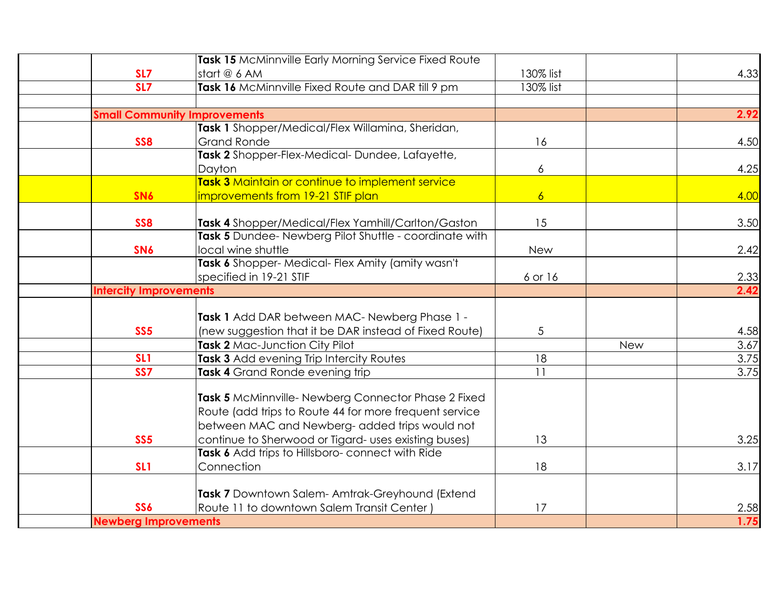|                               | Task 15 McMinnville Early Morning Service Fixed Route                                                        |                |            |              |
|-------------------------------|--------------------------------------------------------------------------------------------------------------|----------------|------------|--------------|
| SL7                           | start @ 6 AM                                                                                                 | 130% list      |            | 4.33         |
| SI7                           | Task 16 McMinnville Fixed Route and DAR till 9 pm                                                            | 130% list      |            |              |
|                               |                                                                                                              |                |            |              |
|                               | <b>Small Community Improvements</b>                                                                          |                |            | 2.92         |
|                               | Task 1 Shopper/Medical/Flex Willamina, Sheridan,                                                             |                |            |              |
| <b>SS8</b>                    | <b>Grand Ronde</b>                                                                                           | 16             |            | 4.50         |
|                               | Task 2 Shopper-Flex-Medical-Dundee, Lafayette,                                                               |                |            |              |
|                               | Dayton                                                                                                       | 6              |            | 4.25         |
|                               | Task 3 Maintain or continue to implement service                                                             |                |            |              |
| SN6                           | improvements from 19-21 STIF plan                                                                            | $\overline{6}$ |            | 4.00         |
|                               |                                                                                                              |                |            |              |
| <b>SS8</b>                    | Task 4 Shopper/Medical/Flex Yamhill/Carlton/Gaston<br>Task 5 Dundee- Newberg Pilot Shuttle - coordinate with | 15             |            | 3.50         |
|                               |                                                                                                              |                |            |              |
| SN6                           | local wine shuttle<br>Task 6 Shopper- Medical- Flex Amity (amity wasn't                                      | New            |            | 2.42         |
|                               |                                                                                                              |                |            |              |
| <b>Intercity Improvements</b> | specified in 19-21 STIF                                                                                      | 6 or 16        |            | 2.33<br>2.42 |
|                               |                                                                                                              |                |            |              |
|                               | Task 1 Add DAR between MAC- Newberg Phase 1 -                                                                |                |            |              |
| <b>SS5</b>                    | (new suggestion that it be DAR instead of Fixed Route)                                                       | 5              |            | 4.58         |
|                               | Task 2 Mac-Junction City Pilot                                                                               |                | <b>New</b> | 3.67         |
| SL <sub>1</sub>               | Task 3 Add evening Trip Intercity Routes                                                                     | 18             |            | 3.75         |
| <b>SS7</b>                    | Task 4 Grand Ronde evening trip                                                                              | 11             |            | 3.75         |
|                               |                                                                                                              |                |            |              |
|                               | Task 5 McMinnville- Newberg Connector Phase 2 Fixed                                                          |                |            |              |
|                               | Route (add trips to Route 44 for more frequent service                                                       |                |            |              |
|                               | between MAC and Newberg- added trips would not                                                               |                |            |              |
| <b>SS5</b>                    | continue to Sherwood or Tigard- uses existing buses)                                                         | 13             |            | 3.25         |
|                               | Task 6 Add trips to Hillsboro- connect with Ride                                                             |                |            |              |
| SL <sub>1</sub>               | Connection                                                                                                   | 18             |            | 3.17         |
|                               |                                                                                                              |                |            |              |
|                               | Task 7 Downtown Salem-Amtrak-Greyhound (Extend                                                               |                |            |              |
| <b>SS6</b>                    | Route 11 to downtown Salem Transit Center                                                                    | 17             |            | 2.58<br>1.75 |
| <b>Newberg Improvements</b>   |                                                                                                              |                |            |              |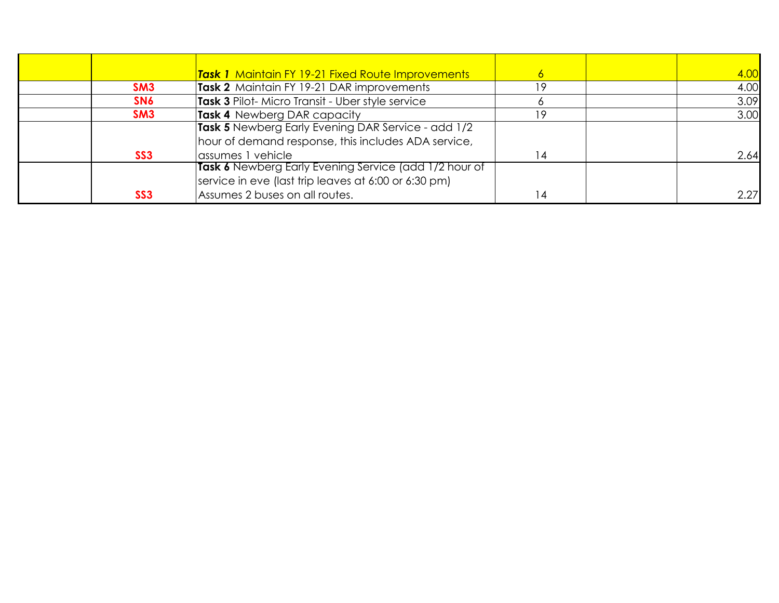|                 | Task 1 Maintain FY 19-21 Fixed Route Improvements     |    | 4.00 |
|-----------------|-------------------------------------------------------|----|------|
| SM <sub>3</sub> | Task 2 Maintain FY 19-21 DAR improvements             | 19 | 4.00 |
| SN6             | Task 3 Pilot- Micro Transit - Uber style service      |    | 3.09 |
| SM3             | <b>Task 4</b> Newberg DAR capacity                    |    | 3.00 |
|                 | Task 5 Newberg Early Evening DAR Service - add 1/2    |    |      |
|                 | hour of demand response, this includes ADA service,   |    |      |
| SS <sub>3</sub> | assumes 1 vehicle                                     | 4  | 2.64 |
|                 | Task 6 Newberg Early Evening Service (add 1/2 hour of |    |      |
|                 | service in eve (last trip leaves at 6:00 or 6:30 pm)  |    |      |
| SS <sub>3</sub> | Assumes 2 buses on all routes.                        |    | 2.27 |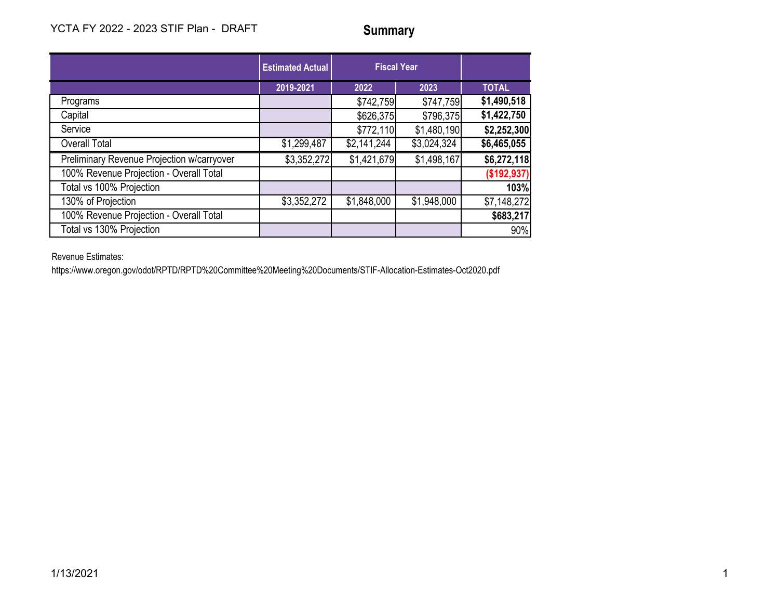|                                            | <b>Estimated Actual</b> |             | <b>Fiscal Year</b> |              |
|--------------------------------------------|-------------------------|-------------|--------------------|--------------|
|                                            | 2019-2021               | 2022        | 2023               | <b>TOTAL</b> |
| Programs                                   |                         | \$742,759   | \$747,759          | \$1,490,518  |
| Capital                                    |                         | \$626,375   | \$796,375          | \$1,422,750  |
| Service                                    |                         | \$772,110   | \$1,480,190        | \$2,252,300  |
| <b>Overall Total</b>                       | \$1,299,487             | \$2,141,244 | \$3,024,324        | \$6,465,055  |
| Preliminary Revenue Projection w/carryover | \$3,352,272             | \$1,421,679 | \$1,498,167        | \$6,272,118  |
| 100% Revenue Projection - Overall Total    |                         |             |                    | (\$192,937)  |
| Total vs 100% Projection                   |                         |             |                    | 103%         |
| 130% of Projection                         | \$3,352,272             | \$1,848,000 | \$1,948,000        | \$7,148,272  |
| 100% Revenue Projection - Overall Total    |                         |             |                    | \$683,217    |
| Total vs 130% Projection                   |                         |             |                    | 90%          |

Revenue Estimates:

https://www.oregon.gov/odot/RPTD/RPTD%20Committee%20Meeting%20Documents/STIF-Allocation-Estimates-Oct2020.pdf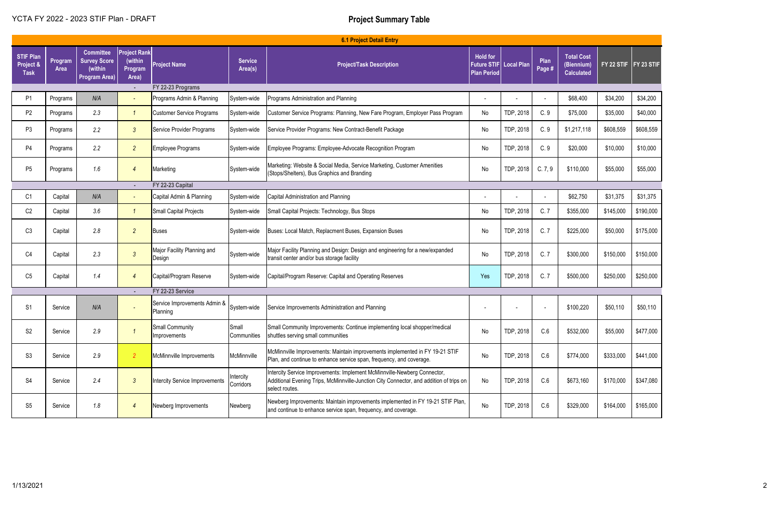|                                              |                 |                                                                            |                                                    |                                          |                           | <b>6.1 Project Detail Entry</b>                                                                                                                                                       |                                       |                          |                |                                                      |                         |           |
|----------------------------------------------|-----------------|----------------------------------------------------------------------------|----------------------------------------------------|------------------------------------------|---------------------------|---------------------------------------------------------------------------------------------------------------------------------------------------------------------------------------|---------------------------------------|--------------------------|----------------|------------------------------------------------------|-------------------------|-----------|
| <b>STIF Plan</b><br>Project &<br><b>Task</b> | Program<br>Area | <b>Committee</b><br><b>Survey Score</b><br>(within<br><b>Program Area)</b> | <b>Project Rank</b><br>(within<br>Program<br>Area) | <b>Project Name</b>                      | <b>Service</b><br>Area(s) | <b>Project/Task Description</b>                                                                                                                                                       | <b>Hold for</b><br><b>Plan Period</b> | Future STIF   Local Plan | Plan<br>Page # | <b>Total Cost</b><br>(Biennium)<br><b>Calculated</b> | FY 22 STIF   FY 23 STIF |           |
|                                              |                 |                                                                            | $\sim$                                             | FY 22-23 Programs                        |                           |                                                                                                                                                                                       |                                       |                          |                |                                                      |                         |           |
| P1                                           | Programs        | N/A                                                                        | $\sim$                                             | Programs Admin & Planning                | System-wide               | Programs Administration and Planning                                                                                                                                                  |                                       |                          |                | \$68,400                                             | \$34,200                | \$34,200  |
| P <sub>2</sub>                               | Programs        | 2.3                                                                        | $\mathbf{1}$                                       | <b>Customer Service Programs</b>         | System-wide               | Customer Service Programs: Planning, New Fare Program, Employer Pass Program                                                                                                          | No                                    | TDP, 2018                | C.9            | \$75,000                                             | \$35,000                | \$40,000  |
| P <sub>3</sub>                               | Programs        | 2.2                                                                        | 3 <sup>1</sup>                                     | Service Provider Programs                | System-wide               | Service Provider Programs: New Contract-Benefit Package                                                                                                                               | No                                    | TDP, 2018                | C.9            | \$1,217,118                                          | \$608,559               | \$608,559 |
| P <sub>4</sub>                               | Programs        | 2.2                                                                        | $\overline{a}$                                     | <b>Employee Programs</b>                 | System-wide               | Employee Programs: Employee-Advocate Recognition Program                                                                                                                              | No                                    | TDP, 2018                | C.9            | \$20,000                                             | \$10,000                | \$10,000  |
| P <sub>5</sub>                               | Programs        | 1.6                                                                        | $\overline{4}$                                     | Marketing                                | System-wide               | Marketing: Website & Social Media, Service Marketing, Customer Amenities<br>(Stops/Shelters), Bus Graphics and Branding                                                               | No                                    | TDP, 2018                | C.7, 9         | \$110,000                                            | \$55,000                | \$55,000  |
|                                              |                 |                                                                            | $\sim$                                             | FY 22-23 Capital                         |                           |                                                                                                                                                                                       |                                       |                          |                |                                                      |                         |           |
| C <sub>1</sub>                               | Capital         | N/A                                                                        | $\sim$                                             | Capital Admin & Planning                 | System-wide               | Capital Administration and Planning                                                                                                                                                   | $\qquad \qquad \blacksquare$          |                          | $\sim$         | \$62,750                                             | \$31,375                | \$31,375  |
| C <sub>2</sub>                               | Capital         | 3.6                                                                        | $\mathbf{1}$                                       | Small Capital Projects                   | System-wide               | Small Capital Projects: Technology, Bus Stops                                                                                                                                         | No                                    | TDP, 2018                | C.7            | \$355,000                                            | \$145,000               | \$190,000 |
| C <sub>3</sub>                               | Capital         | 2.8                                                                        | $\overline{2}$                                     | Buses                                    | System-wide               | Buses: Local Match, Replacment Buses, Expansion Buses                                                                                                                                 | No                                    | TDP, 2018                | C.7            | \$225,000                                            | \$50,000                | \$175,000 |
| C <sub>4</sub>                               | Capital         | 2.3                                                                        | $\mathfrak{Z}$                                     | Major Facility Planning and<br>Design    | System-wide               | Major Facility Planning and Design: Design and engineering for a new/expanded<br>transit center and/or bus storage facility                                                           | No                                    | TDP, 2018                | C.7            | \$300,000                                            | \$150,000               | \$150,000 |
| C <sub>5</sub>                               | Capital         | 1.4                                                                        | $\overline{4}$                                     | Capital/Program Reserve                  | System-wide               | Capital/Program Reserve: Capital and Operating Reserves                                                                                                                               | Yes                                   | TDP, 2018                | C.7            | \$500,000                                            | \$250,000               | \$250,000 |
|                                              |                 |                                                                            | $\sim$                                             | FY 22-23 Service                         |                           |                                                                                                                                                                                       |                                       |                          |                |                                                      |                         |           |
| S <sub>1</sub>                               | Service         | N/A                                                                        |                                                    | Service Improvements Admin 8<br>Planning | System-wide               | Service Improvements Administration and Planning                                                                                                                                      | $\overline{\phantom{a}}$              | $\overline{\phantom{a}}$ |                | \$100,220                                            | \$50,110                | \$50,110  |
| S <sub>2</sub>                               | Service         | 2.9                                                                        |                                                    | <b>Small Community</b><br>Improvements   | Small<br>Communities      | Small Community Improvements: Continue implementing local shopper/medical<br>shuttles serving small communities                                                                       | No                                    | TDP, 2018                | C.6            | \$532,000                                            | \$55,000                | \$477,000 |
| S <sub>3</sub>                               | Service         | 2.9                                                                        | $\overline{2}$                                     | McMinnville Improvements                 | McMinnville               | McMinnville Improvements: Maintain improvements implemented in FY 19-21 STIF<br>Plan, and continue to enhance service span, frequency, and coverage.                                  | No                                    | TDP, 2018                | C.6            | \$774,000                                            | \$333,000               | \$441,000 |
| S <sub>4</sub>                               | Service         | 2.4                                                                        | $\mathfrak{Z}$                                     | <b>Intercity Service Improvements</b>    | Intercity<br>Corridors    | Intercity Service Improvements: Implement McMinnville-Newberg Connector,<br>Additional Evening Trips, McMinnville-Junction City Connector, and addition of trips on<br>select routes. | No                                    | TDP, 2018                | C.6            | \$673,160                                            | \$170,000               | \$347,080 |
| S <sub>5</sub>                               | Service         | 1.8                                                                        | $\overline{4}$                                     | Newberg Improvements                     | Newberg                   | Newberg Improvements: Maintain improvements implemented in FY 19-21 STIF Plan,<br>and continue to enhance service span, frequency, and coverage.                                      | No                                    | TDP, 2018                | C.6            | \$329,000                                            | \$164,000               | \$165,000 |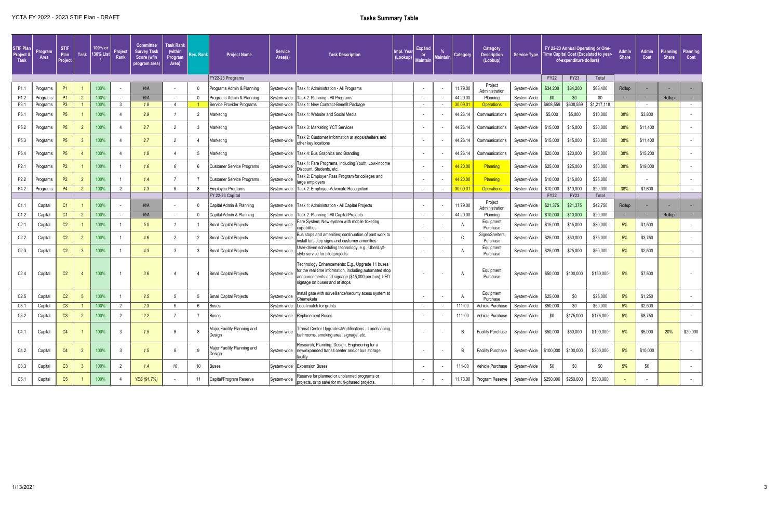| <b>STIF Plan</b><br>Project &<br>Task | Program<br>Area | <b>STIF</b><br>Plan<br>Project | <b>Task</b> | 100% or<br><b>130% List</b> | Project<br>Rank | <b>Committee</b><br><b>Survey Task</b><br>Score (w/in<br>program area) | <b>Task Rank</b><br>(within<br>Program<br>Area) | <b>Rec. Rank</b> | <b>Project Name</b>                   | <b>Service</b><br>Area(s) | <b>Task Description</b>                                                                                                                                                                          | lmpl. Year<br>(Lookup) Maintain | <b>Expand</b><br>or | <b>Maintain</b> | <b>Category</b> | <b>Category</b><br><b>Description</b><br>(Lookup) | Service Type   Time Capital Cost (Escalated to year- |             | of-expenditure dollars) | FY 22-23 Annual Operating or One- | <b>Admin</b><br><b>Share</b> | <b>Admin</b><br>Cost | <b>Planning</b><br><b>Share</b> | Planning<br>Cost |
|---------------------------------------|-----------------|--------------------------------|-------------|-----------------------------|-----------------|------------------------------------------------------------------------|-------------------------------------------------|------------------|---------------------------------------|---------------------------|--------------------------------------------------------------------------------------------------------------------------------------------------------------------------------------------------|---------------------------------|---------------------|-----------------|-----------------|---------------------------------------------------|------------------------------------------------------|-------------|-------------------------|-----------------------------------|------------------------------|----------------------|---------------------------------|------------------|
|                                       |                 |                                |             |                             |                 |                                                                        |                                                 |                  | <b>FY22-23 Programs</b>               |                           |                                                                                                                                                                                                  |                                 |                     |                 |                 |                                                   |                                                      | <b>FY22</b> | <b>FY23</b>             | <b>Total</b>                      |                              |                      |                                 |                  |
| P <sub>1.1</sub>                      | Programs        | P <sub>1</sub>                 |             | 100%                        |                 | N/A                                                                    |                                                 |                  | Programs Admin & Planning             |                           | System-wide   Task 1: Administration - All Programs                                                                                                                                              |                                 |                     |                 | 11.79.00        | Project<br>Administration                         | System-Wide                                          | \$34,200    | \$34,200                | \$68,400                          | Rollup                       |                      |                                 |                  |
| P1.2                                  | Programs        | P <sub>1</sub>                 |             | 100%                        |                 | N/A                                                                    |                                                 |                  | Programs Admin & Planning             | System-wide               | Task 2: Planning - All Programs                                                                                                                                                                  |                                 | $\sim$              |                 | 44.20.00        | Planning                                          | System-Wide                                          | \$0         | \$0                     | \$0                               | $\sim$                       | $\sim$               | Rollup                          |                  |
| P3.1                                  | Programs        | P <sub>3</sub>                 |             | 100%                        |                 | 1.8                                                                    |                                                 |                  | Service Provider Programs             | System-wide               | Task 1: New Contract-Benefit Package                                                                                                                                                             |                                 | $\sim$              |                 | $30.09.0^\circ$ | <b>Operations</b>                                 | System-Wide                                          | \$608,559   | \$608,559               | \$1,217,118                       |                              | $\sim$ $-$           |                                 |                  |
| P5.1                                  | Programs        | <b>P5</b>                      |             | 100%                        |                 | 2.9                                                                    |                                                 |                  | Marketing                             | System-wide               | Task 1: Website and Social Media                                                                                                                                                                 |                                 | $\sim$              | $\sim$          | 44.26.14        | Communications                                    | System-Wide                                          | \$5,000     | \$5,000                 | \$10,000                          | 38%                          | \$3,800              |                                 |                  |
| P5.2                                  | Programs        | <b>P5</b>                      |             | 100%                        |                 | 2.7                                                                    |                                                 |                  | Marketing                             | System-wide               | Task 3: Marketing YCT Services                                                                                                                                                                   |                                 | $\sim$              |                 | 44.26.14        | Communications                                    | System-Wide                                          | \$15,000    | \$15,000                | \$30,000                          | 38%                          | \$11,400             |                                 |                  |
| P5.3                                  | Programs        | <b>P5</b>                      |             | 100%                        |                 | 2.7                                                                    |                                                 |                  | Marketing                             | System-wide               | Task 2: Customer Information at stops/shelters and<br>other key locations                                                                                                                        |                                 | $\sim$              | $\sim$          | 44.26.14        | Communications                                    | System-Wide                                          | \$15,000    | \$15,000                | \$30,000                          | 38%                          | \$11,400             |                                 |                  |
| P5.4                                  | Programs        | P <sub>5</sub>                 |             | 100%                        |                 | 1.8                                                                    |                                                 |                  | Marketing                             | System-wide               | Task 4: Bus Graphics and Branding                                                                                                                                                                |                                 | $\sim$              | $\sim$ $-$      | 44.26.14        | Communications                                    | System-Wide                                          | \$20,000    | \$20,000                | \$40,000                          | 38%                          | \$15,200             |                                 |                  |
| P <sub>2.1</sub>                      | Programs        | <b>P2</b>                      |             | 100%                        |                 | 1.6                                                                    |                                                 |                  | <b>Customer Service Programs</b>      | System-wide               | Task 1: Fare Programs, including Youth, Low-Income<br>Discount, Students, etc.                                                                                                                   |                                 |                     |                 | 44.20.00        | Planning                                          | System-Wide                                          | \$25,000    | \$25,000                | \$50,000                          | 38%                          | \$19,000             |                                 |                  |
| P <sub>2.2</sub>                      | Programs        | <b>P2</b>                      |             | 100%                        |                 | 1.4                                                                    |                                                 |                  | <b>Customer Service Programs</b>      | System-wide               | Task 2: Employer Pass Program for colleges and<br>large employers                                                                                                                                |                                 |                     | $\sim$          | 44.20.00        | Planning                                          | System-Wide                                          | \$10,000    | \$15,000                | \$25,000                          |                              |                      |                                 |                  |
| P4.2                                  | Programs        | P <sub>4</sub>                 |             | 100%                        | $\overline{2}$  | 1.3                                                                    |                                                 |                  | Employee Programs                     | System-wide               | Task 2: Employee-Advocate Recognition                                                                                                                                                            |                                 | $\sim$              | $\sim$          | $30.09.0^\circ$ | <b>Operations</b>                                 | System-Wide                                          | \$10,000    | \$10,000                | \$20,000                          | 38%                          | \$7,600              |                                 |                  |
|                                       |                 |                                |             |                             |                 |                                                                        |                                                 |                  | FY 22-23 Capital                      |                           |                                                                                                                                                                                                  |                                 |                     |                 |                 | Project                                           |                                                      | <b>FY22</b> | <b>FY23</b>             | <b>Total</b>                      |                              |                      |                                 |                  |
| C1.1                                  | Capital         | C1                             |             | 100%                        |                 | N/A                                                                    |                                                 |                  | Capital Admin & Planning              | System-wide               | Task 1: Administration - All Capital Projects                                                                                                                                                    |                                 |                     |                 | 11.79.00        | Administration                                    | System-Wide                                          | \$21,375    | \$21,375                | \$42,750                          | Rollup                       | $\sim$               |                                 |                  |
| C1.2                                  | Capital         | C <sub>1</sub>                 |             | 100%                        |                 | N/A                                                                    |                                                 |                  | Capital Admin & Planning              | System-wide               | Task 2: Planning - All Capital Projects                                                                                                                                                          |                                 | $\sim$              |                 | 44.20.00        | Planning                                          | System-Wide                                          | \$10,000    | \$10,000                | \$20,000                          | $\sim$                       |                      | Rollup                          |                  |
| C <sub>2.1</sub>                      | Capital         | C <sub>2</sub>                 |             | 100%                        |                 | 5.0                                                                    |                                                 |                  | Small Capital Projects                | System-wide               | Fare System: New system with mobile ticketing<br>capabilities                                                                                                                                    |                                 |                     |                 |                 | Equipment<br>Purchase                             | System-Wide                                          | \$15,000    | \$15,000                | \$30,000                          | 5%                           | \$1,500              |                                 |                  |
| C2.2                                  | Capital         | C <sub>2</sub>                 |             | 100%                        |                 | 4.6                                                                    |                                                 |                  | Small Capital Projects                | System-wide               | Bus stops and amenities; continuation of past work to<br>install bus stop signs and customer amenities                                                                                           |                                 |                     |                 | C.              | Signs/Shelters<br>Purchase                        | System-Wide                                          | \$25,000    | \$50,000                | \$75,000                          | 5%                           | \$3,750              |                                 |                  |
| C2.3                                  | Capital         | C <sub>2</sub>                 |             | 100%                        |                 | 4.3                                                                    |                                                 |                  | Small Capital Projects                | System-wide               | User-driven scheduling technology, e.g., Uber/Lyft-<br>style service for pilot projects                                                                                                          |                                 |                     | $\sim$          |                 | Equipment<br>Purchase                             | System-Wide                                          | \$25,000    | \$25,000                | \$50,000                          | 5%                           | \$2,500              |                                 |                  |
| C2.4                                  | Capital         | C2                             |             | 100%                        |                 | 3.6                                                                    |                                                 |                  | Small Capital Projects                | System-wide               | Technology Enhancements: E.g., Upgrade 11 buses<br>for the real time information, including automated stop<br>announcements and signage (\$15,000 per bus); LED<br>signage on buses and at stops |                                 |                     | $\sim$          | A               | Equipment<br>Purchase                             | System-Wide                                          | \$50,000    | \$100,000               | \$150,000                         | 5%                           | \$7,500              |                                 |                  |
| C2.5                                  | Capital         | C <sub>2</sub>                 | -5          | 100%                        |                 | 2.5                                                                    | -5                                              | 5                | Small Capital Projects                | System-wide               | Install gate with surveillance/security acess system at<br>Chemeketa                                                                                                                             |                                 |                     |                 |                 | Equipment<br>Purchase                             | System-Wide                                          | \$25,000    | \$0                     | \$25,000                          | 5%                           | \$1,250              |                                 |                  |
| C3.1                                  | Capital         | C <sub>3</sub>                 |             | 100%                        | 2               | 2.3                                                                    |                                                 | 6                | Buses                                 | System-wide               | Local match for grants                                                                                                                                                                           |                                 | $\sim$              | $\sim$          | 111-00          | Vehicle Purchase                                  | System-Wide                                          | \$50,000    | \$0                     | \$50,000                          | 5%                           | \$2,500              |                                 | $\sim 10^{-11}$  |
| C3.2                                  | Capital         | C3                             |             | 100%                        |                 | 2.2                                                                    |                                                 |                  | Buses                                 |                           | System-wide Replacement Buses                                                                                                                                                                    |                                 |                     |                 | 111-00          | Vehicle Purchase                                  | System-Wide                                          | \$0         | \$175,000               | \$175,000                         | 5%                           | \$8,750              |                                 | $\sim$           |
| C4.1                                  | Capital         | C4                             |             | 100%                        |                 | 1.5                                                                    |                                                 |                  | Major Facility Planning and<br>Design | System-wide               | Transit Center Upgrades/Modifications - Landscaping,<br>bathrooms, smoking area, signage, etc.                                                                                                   |                                 |                     | $\sim$          | B               | <b>Facility Purchase</b>                          | System-Wide                                          | \$50,000    | \$50,000                | \$100,000                         | 5%                           | \$5,000              | 20%                             | \$20,000         |
| C4.2                                  | Capital         | C4                             |             | 100%                        |                 | 1.5                                                                    |                                                 |                  | Major Facility Planning and<br>Design | System-wide               | Research, Planning, Design, Engineering for a<br>new/expanded transit center and/or bus storage<br>facility                                                                                      |                                 |                     | $\sim$          | B               | Facility Purchase   System-Wide                   |                                                      | \$100,000   | \$100,000               | \$200,000                         | 5%                           | \$10,000             |                                 |                  |
| C3.3                                  | Capital         | C3                             |             | 100%                        |                 | 1.4                                                                    | 10                                              | 10 <sup>1</sup>  | Buses                                 |                           | System-wide   Expansion Buses                                                                                                                                                                    |                                 | $\sim$              | $\sim$ $-$      | 111-00          | Vehicle Purchase                                  | System-Wide                                          | \$0         | \$0                     | \$0                               | 5%                           | \$0                  |                                 |                  |
| C5.1                                  | Capital         | C5                             |             | 100%                        |                 | YES (91.7%)                                                            |                                                 | 11               | Capital/Program Reserve               | System-wide               | Reserve for planned or unplanned programs or<br>projects, or to save for multi-phased projects.                                                                                                  |                                 |                     | $\sim$ $-$      | 11.73.00        | Program Reserve   System-Wide                     |                                                      | \$250,000   | \$250,000               | \$500,000                         |                              |                      |                                 |                  |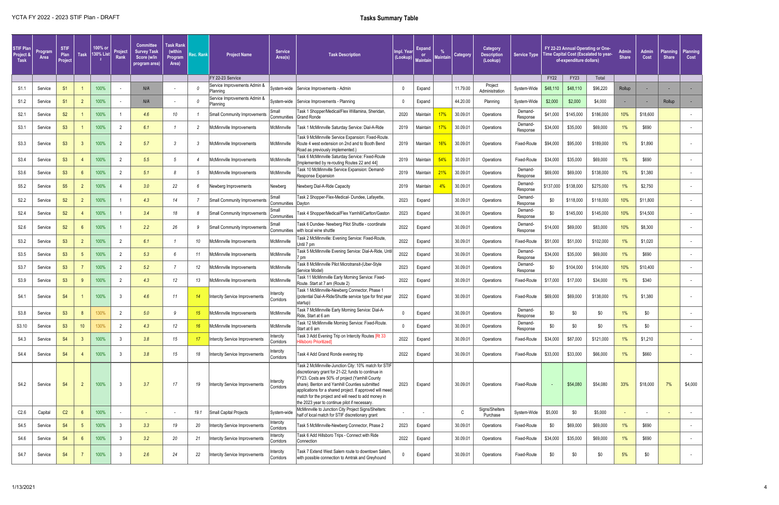| <b>STIF Plan</b><br>Project &<br>Task | Program<br>Area | <b>STIF</b><br>Plan<br>Project | <b>Task</b> | 100% or<br>130% Lis | Project<br>Rank | <b>Committee</b><br><b>Survey Task</b><br>Score (w/in<br>program area) | <b>Task Rank</b><br>(within<br>Program<br>Area) | <b>Rec. Rank</b> | <b>Project Name</b>                      | <b>Service</b><br>Area(s)   | <b>Task Description</b>                                                                                                                                                                                                                                                                                                                                                           | <b>Impl. Year</b><br>(Lookup) | Expand<br>or<br><b>Maintain</b> | <b>Maintain</b> | Category | <b>Category</b><br><b>Description</b><br>(Lookup) | <b>Service Type</b>        |             | FY 22-23 Annual Operating or One-<br>of-expenditure dollars) | Time Capital Cost (Escalated to year- | <b>Admin</b><br><b>Share</b> | <b>Admir</b><br>Cost | Planning<br><b>Share</b> | Planning<br>Cost |
|---------------------------------------|-----------------|--------------------------------|-------------|---------------------|-----------------|------------------------------------------------------------------------|-------------------------------------------------|------------------|------------------------------------------|-----------------------------|-----------------------------------------------------------------------------------------------------------------------------------------------------------------------------------------------------------------------------------------------------------------------------------------------------------------------------------------------------------------------------------|-------------------------------|---------------------------------|-----------------|----------|---------------------------------------------------|----------------------------|-------------|--------------------------------------------------------------|---------------------------------------|------------------------------|----------------------|--------------------------|------------------|
|                                       |                 |                                |             |                     |                 |                                                                        |                                                 |                  | FY 22-23 Service                         |                             |                                                                                                                                                                                                                                                                                                                                                                                   |                               |                                 |                 |          |                                                   |                            | <b>FY22</b> | <b>FY23</b>                                                  | <b>Total</b>                          |                              |                      |                          |                  |
| S1.1                                  | Service         | S <sub>1</sub>                 |             | 100%                |                 | N/A                                                                    | $\sim$                                          | $\theta$         | Service Improvements Admin &<br>Planning |                             | System-wide Service Improvements - Admin                                                                                                                                                                                                                                                                                                                                          |                               | Expand                          |                 | 11.79.00 | Project<br>Administration                         | System-Wide                | \$48,110    | \$48,110                                                     | \$96,220                              | Rollup                       |                      |                          |                  |
| S <sub>1.2</sub>                      | Service         | S <sub>1</sub>                 |             | 100%                |                 | N/A                                                                    |                                                 |                  | Service Improvements Admin &<br>Planning |                             | System-wide Service Improvements - Planning                                                                                                                                                                                                                                                                                                                                       |                               | Expand                          |                 | 44.20.00 | Planning                                          | System-Wide                | \$2,000     | \$2,000                                                      | \$4,000                               |                              |                      | Rollup                   |                  |
| S <sub>2.1</sub>                      | Service         | S <sub>2</sub>                 |             | 100%                |                 | 4.6                                                                    | 10                                              |                  | <b>Small Community Improvements</b>      | <b>Small</b><br>Communities | Task 1 Shopper/Medical/Flex Willamina, Sheridan<br>Grand Ronde                                                                                                                                                                                                                                                                                                                    | 2020                          | Maintain                        |                 | 30.09.0  | Operations                                        | Demand-<br>Response        | \$41,000    | \$145,000                                                    | \$186,000                             | 10%                          | \$18,600             |                          |                  |
| S3.1                                  | Service         | S3                             |             | 100%                |                 | 6.1                                                                    |                                                 |                  | McMinnville Improvements                 | McMinnville                 | Task 1 McMinnville Saturday Service: Dial-A-Ride                                                                                                                                                                                                                                                                                                                                  | 2019                          | Maintain                        | 17%             | 30.09.0  | Operations                                        | Demand<br>Response         | \$34,000    | \$35,000                                                     | \$69,000                              | $1\%$                        | \$690                |                          |                  |
| S3.3                                  | Service         | S3                             |             | 100%                |                 | 5.7                                                                    |                                                 |                  | McMinnville Improvements                 | McMinnville                 | Task 9 McMinnville Service Expansion: Fixed-Route.<br>Route 4 west extension on 2nd and to Booth Bend<br>Road as previously implemented.)                                                                                                                                                                                                                                         | 2019                          | Maintain                        | 16%             | 30.09.0  | Operations                                        | Fixed-Route                | \$94,000    | \$95,000                                                     | \$189,000                             | $1\%$                        | \$1,890              |                          |                  |
| S3.4                                  | Service         | S3                             |             | 100%                |                 | 5.5                                                                    |                                                 |                  | McMinnville Improvements                 | McMinnville                 | Task 6 McMinnville Saturday Service: Fixed-Route<br>[Implemented by re-routing Routes 22 and 44]                                                                                                                                                                                                                                                                                  | 2019                          | Maintain                        | 54%             | 30.09.0  | Operations                                        | Fixed-Route                | \$34,000    | \$35,000                                                     | \$69,000                              | $1\%$                        | \$690                |                          |                  |
| S3.6                                  | Service         | S3                             |             | 100%                |                 | 5.1                                                                    |                                                 |                  | McMinnville Improvements                 | McMinnville                 | Task 10 McMinnville Service Expansion: Demand-<br>Response Expansion                                                                                                                                                                                                                                                                                                              | 2019                          | Maintain                        | <b>21%</b>      | 30.09.0  | Operations                                        | Demand<br>Response         | \$69,000    | \$69,000                                                     | \$138,000                             | $1\%$                        | \$1,380              |                          |                  |
| S5.2                                  | Service         | S <sub>5</sub>                 |             | 100%                |                 | 3.0                                                                    | 22                                              | 6                | Newberg Improvements                     | Newberg                     | Newberg Dial-A-Ride Capacity                                                                                                                                                                                                                                                                                                                                                      | 2019                          | Maintain                        | 4%              | 30.09.0  | Operations                                        | Demand<br>Response         | \$137,000   | \$138,000                                                    | \$275,000                             | $1\%$                        | \$2,750              |                          |                  |
| S2.2                                  | Service         | S <sub>2</sub>                 |             | 100%                |                 | 4.3                                                                    | 14                                              |                  | <b>Small Community Improvements</b>      | Small<br>Communities        | Task 2 Shopper-Flex-Medical- Dundee, Lafayette,<br>Dayton                                                                                                                                                                                                                                                                                                                         | 2023                          | Expand                          |                 | 30.09.0  | Operations                                        | Demand<br>Response         | \$0         | \$118,000                                                    | \$118,000                             | 10%                          | \$11,800             |                          |                  |
| S <sub>2.4</sub>                      | Service         | S <sub>2</sub>                 |             | 100%                |                 | 3.4                                                                    | 18                                              |                  | <b>Small Community Improvements</b>      | Small<br>Communities        | Task 4 Shopper/Medical/Flex Yamhill/Carlton/Gaston                                                                                                                                                                                                                                                                                                                                | 2023                          | Expand                          |                 | 30.09.0  | Operations                                        | Demand-<br>Response        | \$0         | \$145,000                                                    | \$145,000                             | 10%                          | \$14,500             |                          |                  |
| S2.6                                  | Service         | S <sub>2</sub>                 |             | 100%                |                 | 2.2                                                                    | 26                                              | 9                | <b>Small Community Improvements</b>      | Small<br>Communities        | Task 6 Dundee- Newberg Pilot Shuttle - coordinate<br>with local wine shuttle                                                                                                                                                                                                                                                                                                      | 2022                          | Expand                          |                 | 30.09.0  | Operations                                        | <b>Demand-</b><br>Response | \$14,000    | \$69,000                                                     | \$83,000                              | 10%                          | \$8,300              |                          |                  |
| S3.2                                  | Service         | S3                             |             | 100%                |                 | 6.1                                                                    |                                                 | 10               | McMinnville Improvements                 | McMinnville                 | Task 2 McMinnville: Evening Service: Fixed-Route<br>Until 7 pm                                                                                                                                                                                                                                                                                                                    | 2022                          | Expand                          |                 | 30.09.0  | Operations                                        | Fixed-Route                | \$51,000    | \$51,000                                                     | \$102,000                             | $1\%$                        | \$1,020              |                          |                  |
| S3.5                                  | Service         | S3                             |             | 100%                |                 | 5.3                                                                    |                                                 |                  | McMinnville Improvements                 | McMinnville                 | Task 5 McMinnville Evening Service: Dial-A-Ride, Until<br>7 pm                                                                                                                                                                                                                                                                                                                    | 2022                          | Expand                          |                 | 30.09.0  | Operations                                        | Demand<br>Response         | \$34,000    | \$35,000                                                     | \$69,000                              | $1\%$                        | \$690                |                          |                  |
| S3.7                                  | Service         | S3                             |             | 100%                |                 | 5.2                                                                    |                                                 | 12               | McMinnville Improvements                 | McMinnville                 | Task 8 McMinnville Pilot Microtransit-(Uber-Style<br>Service Model)                                                                                                                                                                                                                                                                                                               | 2023                          | Expand                          |                 | 30.09.01 | Operations                                        | Demand-<br>Response        | \$0         | \$104,000                                                    | \$104,000                             | 10%                          | \$10,400             |                          |                  |
| S3.9                                  | Service         | S3                             |             | 100%                |                 | 4.3                                                                    | 12                                              | 13               | McMinnville Improvements                 | McMinnville                 | Task 11 McMinnville Early Morning Service: Fixed-<br>Route. Start at 7 am (Route 2)                                                                                                                                                                                                                                                                                               | 2022                          | Expand                          |                 | 30.09.01 | Operations                                        | Fixed-Route                | \$17,000    | \$17,000                                                     | \$34,000                              | $1\%$                        | \$340                |                          |                  |
| S4.1                                  | Service         | <b>S4</b>                      |             | 100%                |                 | 4.6                                                                    | 11                                              |                  | <b>Intercity Service Improvements</b>    | Intercity<br>Corridors      | Task 1 McMinnville-Newberg Connector, Phase 1<br>(potential Dial-A-Ride/Shuttle service type for first year<br>startup)                                                                                                                                                                                                                                                           | 2022                          | Expand                          |                 | 30.09.0  | Operations                                        | Fixed-Route                | \$69,000    | \$69,000                                                     | \$138,000                             | $1\%$                        | \$1,380              |                          |                  |
| S3.8                                  | Service         | <b>S3</b>                      |             | 130%                |                 | 5.0                                                                    | -9                                              | 15 <sup>15</sup> | McMinnville Improvements                 | McMinnville                 | Task 7 McMinnville Early Morning Service: Dial-A-<br>Ride, Start at 6 am                                                                                                                                                                                                                                                                                                          |                               | Expand                          |                 | 30.09.01 | Operations                                        | Demand-<br>Response        | \$0         | \$0                                                          | \$0                                   | $1\%$                        | \$0                  |                          |                  |
| S3.10                                 | Service         | S3                             | 10          |                     |                 | 4.3                                                                    | 12                                              | 16 <sup>1</sup>  | McMinnville Improvements                 | McMinnville                 | Task 12 McMinnville Morning Service: Fixed-Route.<br>Start at 6 am                                                                                                                                                                                                                                                                                                                |                               | Expand                          |                 | 30.09.0  | Operations                                        | <b>Demand-</b><br>Response | \$0         | \$0                                                          | \$0                                   | $1\%$                        | \$0                  |                          |                  |
| S4.3                                  | Service         | <b>S4</b>                      |             | 100%                |                 | 3.8                                                                    | 15                                              |                  | <b>Intercity Service Improvements</b>    | Intercity<br>Corridors      | Task 3 Add Evening Trip on Intercity Routes [Rt 33<br>Hillsboro Prioritized]                                                                                                                                                                                                                                                                                                      | 2022                          | Expand                          |                 | 30.09.01 | Operations                                        | Fixed-Route                | \$34,000    | \$87,000                                                     | \$121,000                             | $1\%$                        | \$1,210              |                          |                  |
| S4.4                                  | Service         | <b>S4</b>                      |             | 100%                |                 | 3.8                                                                    | 15                                              | 18               | ntercity Service Improvements            | Intercity<br>Corridors      | Task 4 Add Grand Ronde evening trip                                                                                                                                                                                                                                                                                                                                               | 2022                          | Expand                          |                 | 30.09.0  | Operations                                        | Fixed-Route                | \$33,000    | \$33,000                                                     | \$66,000                              | $1\%$                        | \$660                |                          |                  |
| S4.2                                  | Service         | <b>S4</b>                      |             | 100%                | 3               | 3.7                                                                    | 17                                              | 19               | ntercity Service Improvements            | Intercity<br>Corridors      | Task 2 McMinnville-Junction City: 10% match for STIF<br>discretionary grant for 21-22; funds to continue in<br>FY23. Costs are 50% of project (Yamhill County<br>share). Benton and Yamhill Counties submitted<br>applications for a shared project. If approved will meed<br>match for the project and will need to add money in<br>the 2023 year to continue pilot if necessary | 2023                          | Expand                          |                 | 30.09.01 | Operations                                        | Fixed-Route                |             | \$54,080                                                     | \$54,080                              | 33%                          | \$18,000             | 7%                       | \$4,000          |
| C2.6                                  | Capital         | C <sub>2</sub>                 |             | 100%                |                 | $\sim$                                                                 | $\qquad \qquad$                                 | 19.1             | Small Capital Projects                   | System-wide                 | McMinnville to Junction City Project Signs/Shelters:<br>half of local match for STIF discretionary grant                                                                                                                                                                                                                                                                          |                               | $\sim$                          |                 | C        | Signs/Shelters<br>Purchase                        | System-Wide                | \$5,000     | \$0                                                          | \$5,000                               |                              |                      |                          |                  |
| S4.5                                  | Service         | <b>S4</b>                      |             | 100%                |                 | 3.3                                                                    | 19                                              | 20               | ntercity Service Improvements            | Intercity<br>Corridors      | Task 5 McMinnville-Newberg Connector, Phase 2                                                                                                                                                                                                                                                                                                                                     | 2023                          | Expand                          |                 | 30.09.0  | Operations                                        | Fixed-Route                | \$0         | \$69,000                                                     | \$69,000                              | $1\%$                        | \$690                |                          |                  |
| S4.6                                  | Service         | <b>S4</b>                      |             | 100%                |                 | 3.2                                                                    | 20                                              | 21               | Intercity Service Improvements           | Intercity<br>Corridors      | Task 6 Add Hillsboro Trips - Connect with Ride<br>Connection                                                                                                                                                                                                                                                                                                                      | 2022                          | Expand                          |                 | 30.09.0  | Operations                                        | Fixed-Route                | \$34,000    | \$35,000                                                     | \$69,000                              | $1\%$                        | \$690                |                          |                  |
| S4.7                                  | Service         | <b>S4</b>                      |             | 100%                |                 | 2.6                                                                    | 24                                              | 22               | ntercity Service Improvements            | Intercity<br>Corridors      | Task 7 Extend West Salem route to downtown Salem,<br>with possible connection to Amtrak and Greyhound                                                                                                                                                                                                                                                                             |                               | Expand                          |                 | 30.09.0  | Operations                                        | Fixed-Route                | \$0         | \$0                                                          | \$0                                   | 5%                           | \$0                  |                          |                  |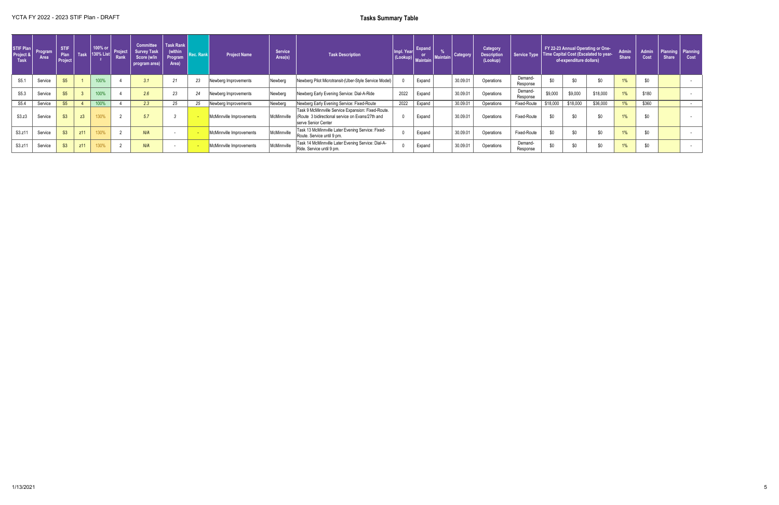| STIF Plan<br>Project & | Program<br>Area | <b>STIF</b><br>Plan<br>Project | Task            | 100% or<br><b>130% List</b> | Project<br>Rank | <b>Committee</b><br><b>Survey Task</b><br>Score (w/in<br>program area) | <b>Task Rank</b><br>(within<br>Program<br>Area) | ec. Rank | <b>Project Name</b>      | <b>Service</b><br>Area(s) | <b>Task Description</b>                                                                                                       | Impl. Year | <b>Expand</b><br>(Lookup) Maintain | <b>Maintain</b> | <b>Category</b> | <b>Category</b><br><b>Description</b><br>(Lookup) | <b>Service Type</b> |          | of-expenditure dollars) | FY 22-23 Annual Operating or One-<br>Time Capital Cost (Escalated to year- | <b>Admin</b><br><b>Share</b> | <b>Admin</b><br><b>Cost</b> | <b>Planning</b><br><b>Share</b> | Planning<br>Cost |
|------------------------|-----------------|--------------------------------|-----------------|-----------------------------|-----------------|------------------------------------------------------------------------|-------------------------------------------------|----------|--------------------------|---------------------------|-------------------------------------------------------------------------------------------------------------------------------|------------|------------------------------------|-----------------|-----------------|---------------------------------------------------|---------------------|----------|-------------------------|----------------------------------------------------------------------------|------------------------------|-----------------------------|---------------------------------|------------------|
| S5.1                   | Service         | S <sub>5</sub>                 |                 | 100%                        |                 |                                                                        | $\epsilon$                                      | 23       | Newberg Improvements     | Newberg                   | Newberg Pilot Microtransit-(Uber-Style Service Model)                                                                         |            | Expand                             |                 | 30.09.01        | Operations                                        | Demand-<br>Response | \$0      |                         | \$0\$                                                                      | $1\%$                        | \$0                         |                                 |                  |
| S5.3                   | Service         | <b>S5</b>                      |                 | 100%                        |                 | 2.6                                                                    | 23                                              | 24       | Newberg Improvements     | Newberg                   | Newberg Early Evening Service: Dial-A-Ride                                                                                    | 2022       | Expand                             |                 | 30.09.01        | Operations                                        | Demand-<br>Response | \$9,000  | \$9,000                 | \$18,000                                                                   | $1\%$                        | \$180                       |                                 |                  |
| S5.4                   | Service         | <b>S5</b>                      |                 | 100%                        |                 | 2.3                                                                    | $\sim$<br>- 20                                  | 25       | Newberg Improvements     | Newberg                   | Newberg Early Evening Service: Fixed-Route                                                                                    | 2022       | Expand                             |                 | 30.09.01        | Operations                                        | Fixed-Route         | \$18,000 | \$18,000                | \$36,000                                                                   | $1\%$                        | \$360                       |                                 |                  |
| S3.z3                  | Service         | S3                             | z3              | 130%                        | $\sim$          | 5.7                                                                    |                                                 |          | McMinnville Improvements | McMinnville               | Task 9 McMinnville Service Expansion: Fixed-Route.<br>(Route 3 bidirectional service on Evans/27th and<br>serve Senior Center |            | Expand                             |                 | 30.09.01        | Operations                                        | Fixed-Route         | \$0      | \$0                     | \$0                                                                        | $1\%$                        | \$0                         |                                 |                  |
| S3.z11                 | Service         | S3                             | z11             | 130%                        |                 | N/A                                                                    |                                                 |          | McMinnville Improvements | McMinnville               | Task 13 McMinnville Later Evening Service: Fixed-<br>Route. Service until 9 pm.                                               |            | Expand                             |                 | 30.09.01        | Operations                                        | Fixed-Route         | \$0      | \$0                     | \$0                                                                        | $1\%$                        | \$0                         |                                 |                  |
| S3.z11                 | Service         | S3                             | z <sub>11</sub> | 130%                        |                 | N/A                                                                    |                                                 |          | McMinnville Improvements | McMinnville               | Task 14 McMinnville Later Evening Service: Dial-A-<br>Ride. Service until 9 pm.                                               |            | Expand                             |                 | 30.09.01        | Operations                                        | Demand-<br>Response | \$0      | \$0                     | \$0                                                                        | $1\%$                        | \$0                         |                                 |                  |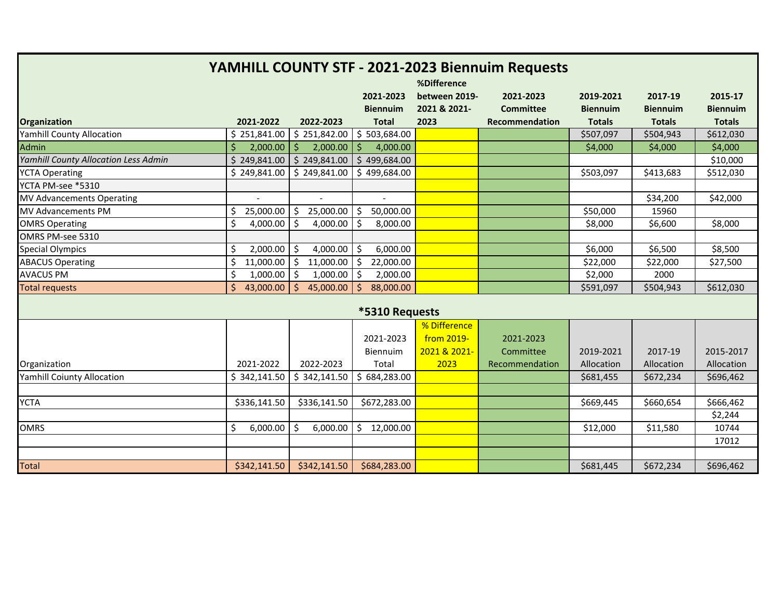|                                             |                      |                                 |                           | %Difference   | YAMHILL COUNTY STF - 2021-2023 Biennuim Requests |                 |                 |                 |
|---------------------------------------------|----------------------|---------------------------------|---------------------------|---------------|--------------------------------------------------|-----------------|-----------------|-----------------|
|                                             |                      |                                 | 2021-2023                 | between 2019- | 2021-2023                                        | 2019-2021       | 2017-19         | 2015-17         |
|                                             |                      |                                 | <b>Biennuim</b>           | 2021 & 2021-  | <b>Committee</b>                                 | <b>Biennuim</b> | <b>Biennuim</b> | <b>Biennuim</b> |
| <b>Organization</b>                         | 2021-2022            | 2022-2023                       | <b>Total</b>              | 2023          | <b>Recommendation</b>                            | <b>Totals</b>   | <b>Totals</b>   | <b>Totals</b>   |
| <b>Yamhill County Allocation</b>            | \$251,841.00         | \$251,842.00                    | \$503,684.00              |               |                                                  | \$507,097       | \$504,943       | \$612,030       |
| Admin                                       | Ś<br>2,000.00        | 2,000.00<br>Ŝ.                  | Ŝ.<br>4,000.00            |               |                                                  | \$4,000         | \$4,000         | \$4,000         |
| <b>Yamhill County Allocation Less Admin</b> | \$249,841.00         | \$249,841.00                    | \$499,684.00              |               |                                                  |                 |                 | \$10,000        |
| <b>YCTA Operating</b>                       | \$249,841.00         | \$249,841.00                    | \$499,684.00              |               |                                                  | \$503,097       | \$413,683       | \$512,030       |
| YCTA PM-see *5310                           |                      |                                 |                           |               |                                                  |                 |                 |                 |
| MV Advancements Operating                   |                      |                                 |                           |               |                                                  |                 | \$34,200        | \$42,000        |
| MV Advancements PM                          | 25,000.00<br>\$      | \$<br>25,000.00                 | l \$<br>50,000.00         |               |                                                  | \$50,000        | 15960           |                 |
| <b>OMRS Operating</b>                       | \$<br>4,000.00       | \$<br>4,000.00                  | l \$<br>8,000.00          |               |                                                  | \$8,000         | \$6,600         | \$8,000         |
| OMRS PM-see 5310                            |                      |                                 |                           |               |                                                  |                 |                 |                 |
| <b>Special Olympics</b>                     | 2,000.00<br>\$       | $\ddot{\mathsf{S}}$<br>4,000.00 | l \$<br>6,000.00          |               |                                                  | \$6,000         | \$6,500         | \$8,500         |
| <b>ABACUS Operating</b>                     | \$<br>11,000.00      | $\mathsf{S}$<br>11,000.00       | $\sqrt{5}$<br>22,000.00   |               |                                                  | \$22,000        | \$22,000        | \$27,500        |
| <b>AVACUS PM</b>                            | \$<br>1,000.00       | Ś.<br>1,000.00                  | l \$<br>2,000.00          |               |                                                  | \$2,000         | 2000            |                 |
| Total requests                              | $\zeta$<br>43,000.00 | \$<br>45,000.00                 | 88,000.00<br>$\mathsf{S}$ |               |                                                  | \$591,097       | \$504,943       | \$612,030       |
|                                             |                      |                                 | *5310 Requests            |               |                                                  |                 |                 |                 |
|                                             |                      |                                 |                           | % Difference  |                                                  |                 |                 |                 |
|                                             |                      |                                 | 2021-2023                 | from 2019-    | 2021-2023                                        |                 |                 |                 |
|                                             |                      |                                 | Biennuim                  | 2021 & 2021-  | Committee                                        | 2019-2021       | 2017-19         | 2015-2017       |
| Organization                                | 2021-2022            | 2022-2023                       | Total                     | 2023          | Recommendation                                   | Allocation      | Allocation      | Allocation      |
| <b>Yamhill Coiunty Allocation</b>           | \$342,141.50         | \$342,141.50                    | \$684,283.00              |               |                                                  | \$681,455       | \$672,234       | \$696,462       |
|                                             |                      |                                 |                           |               |                                                  |                 |                 |                 |
| <b>YCTA</b>                                 | \$336,141.50         | \$336,141.50                    | \$672,283.00              |               |                                                  | \$669,445       | \$660,654       | \$666,462       |
|                                             |                      |                                 |                           |               |                                                  |                 |                 | \$2,244         |
| <b>OMRS</b>                                 | \$<br>6,000.00       | \$<br>6,000.00                  | \$<br>12,000.00           |               |                                                  | \$12,000        | \$11,580        | 10744           |
|                                             |                      |                                 |                           |               |                                                  |                 |                 | 17012           |
|                                             |                      |                                 |                           |               |                                                  |                 |                 |                 |
| <b>Total</b>                                | \$342,141.50         | \$342,141.50                    | \$684,283.00              |               |                                                  | \$681,445       | \$672,234       | \$696,462       |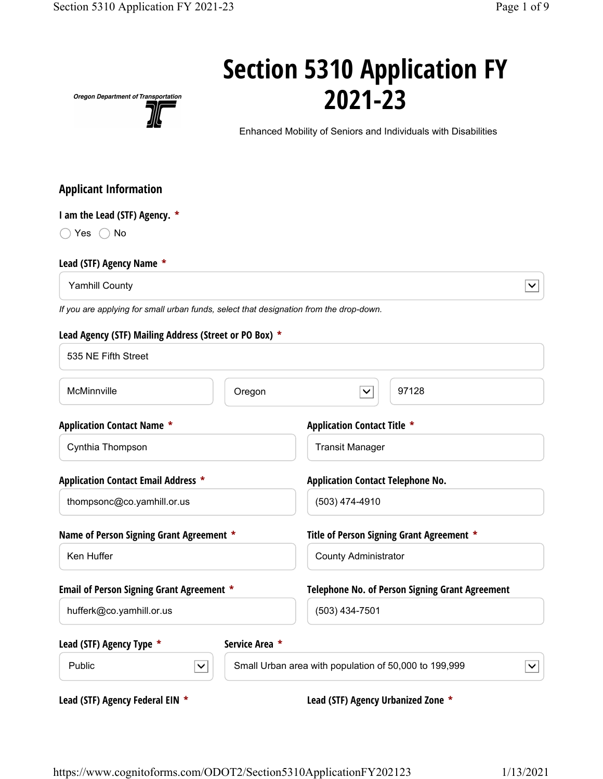# Section 5310 Application FY 2021-23



Enhanced Mobility of Seniors and Individuals with Disabilities

#### Applicant Information

| I am the Lead (STF) Agency. *                                                          |                |                                                                       |
|----------------------------------------------------------------------------------------|----------------|-----------------------------------------------------------------------|
| ◯ Yes<br>$\bigcirc$ No                                                                 |                |                                                                       |
| Lead (STF) Agency Name *                                                               |                |                                                                       |
| <b>Yamhill County</b>                                                                  |                |                                                                       |
| If you are applying for small urban funds, select that designation from the drop-down. |                |                                                                       |
| Lead Agency (STF) Mailing Address (Street or PO Box) *                                 |                |                                                                       |
| 535 NE Fifth Street                                                                    |                |                                                                       |
| McMinnville                                                                            | Oregon         | 97128<br>$\checkmark$                                                 |
| <b>Application Contact Name *</b>                                                      |                | <b>Application Contact Title *</b>                                    |
| Cynthia Thompson                                                                       |                | <b>Transit Manager</b>                                                |
| <b>Application Contact Email Address *</b>                                             |                | <b>Application Contact Telephone No.</b>                              |
| thompsonc@co.yamhill.or.us                                                             |                | (503) 474-4910                                                        |
| Name of Person Signing Grant Agreement *                                               |                | Title of Person Signing Grant Agreement *                             |
| Ken Huffer                                                                             |                | <b>County Administrator</b>                                           |
| Email of Person Signing Grant Agreement *                                              |                | <b>Telephone No. of Person Signing Grant Agreement</b>                |
| hufferk@co.yamhill.or.us                                                               |                | (503) 434-7501                                                        |
| Lead (STF) Agency Type *                                                               | Service Area * |                                                                       |
| Public                                                                                 | $\checkmark$   | Small Urban area with population of 50,000 to 199,999<br>$\checkmark$ |

Lead (STF) Agency Federal EIN \* The Lead (STF) Agency Urbanized Zone \*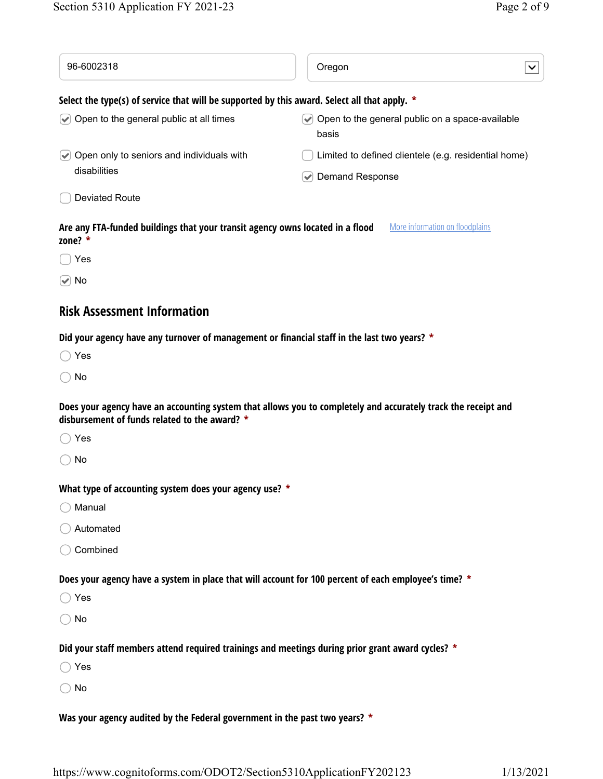| 96-6002318                                                                                                  | Oregon<br>∨                                                                                                   |
|-------------------------------------------------------------------------------------------------------------|---------------------------------------------------------------------------------------------------------------|
| Select the type(s) of service that will be supported by this award. Select all that apply. *                |                                                                                                               |
| $\heartsuit$ Open to the general public at all times                                                        | $\blacktriangleright$ Open to the general public on a space-available<br>basis                                |
| $\heartsuit$ Open only to seniors and individuals with<br>disabilities                                      | Limited to defined clientele (e.g. residential home)                                                          |
| <b>Deviated Route</b>                                                                                       | <b>Demand Response</b><br>$\blacktriangleright$                                                               |
| Are any FTA-funded buildings that your transit agency owns located in a flood<br>zone? $*$                  | More information on floodplains                                                                               |
| Yes                                                                                                         |                                                                                                               |
| $\left[\bigtriangledown\right]$ No                                                                          |                                                                                                               |
| <b>Risk Assessment Information</b>                                                                          |                                                                                                               |
| Did your agency have any turnover of management or financial staff in the last two years? *                 |                                                                                                               |
| Yes                                                                                                         |                                                                                                               |
| No                                                                                                          |                                                                                                               |
| disbursement of funds related to the award? *                                                               | Does your agency have an accounting system that allows you to completely and accurately track the receipt and |
| Yes                                                                                                         |                                                                                                               |
| No                                                                                                          |                                                                                                               |
| What type of accounting system does your agency use? *                                                      |                                                                                                               |
| Manual                                                                                                      |                                                                                                               |
| Automated                                                                                                   |                                                                                                               |
| Combined                                                                                                    |                                                                                                               |
| Does your agency have a system in place that will account for 100 percent of each employee's time? *<br>Yes |                                                                                                               |
| No                                                                                                          |                                                                                                               |
|                                                                                                             |                                                                                                               |
| Did your staff members attend required trainings and meetings during prior grant award cycles? *            |                                                                                                               |
| $\bigcirc$ Yes                                                                                              |                                                                                                               |
| No                                                                                                          |                                                                                                               |

Was your agency audited by the Federal government in the past two years?  $*$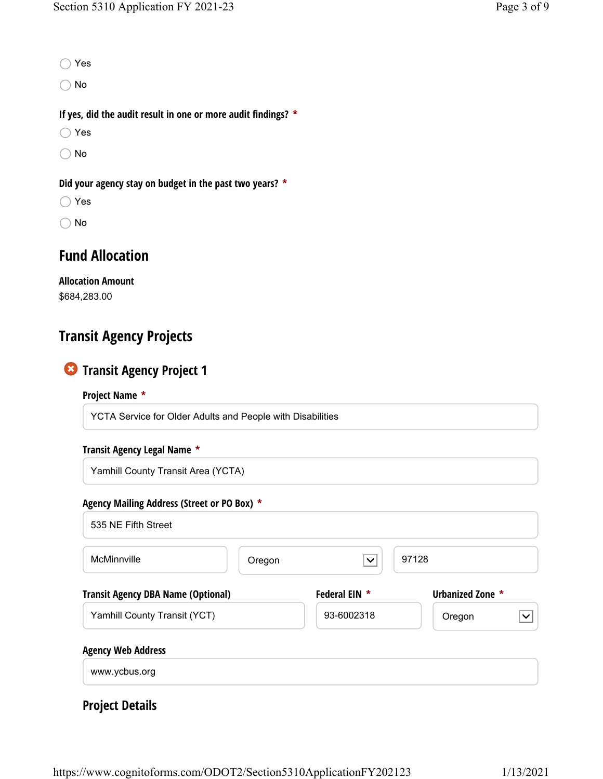Yes

No

If yes, did the audit result in one or more audit findings? \*

No

Did your agency stay on budget in the past two years? \*

- Yes
- $\bigcirc$  No

# Fund Allocation

| <b>Allocation Amount</b> |  |
|--------------------------|--|
|                          |  |

\$684,283.00

# Transit Agency Projects

# **The Transit Agency Project 1**

#### Project Name \*

YCTA Service for Older Adults and People with Disabilities

#### Transit Agency Legal Name \*

Yamhill County Transit Area (YCTA)

#### Agency Mailing Address (Street or PO Box) \*

| Oregon | $\checkmark$  | 97128                  |
|--------|---------------|------------------------|
|        | Federal EIN * | Urbanized Zone *       |
|        | 93-6002318    | Oregon<br>$\checkmark$ |
|        |               |                        |
|        |               |                        |

# Project Details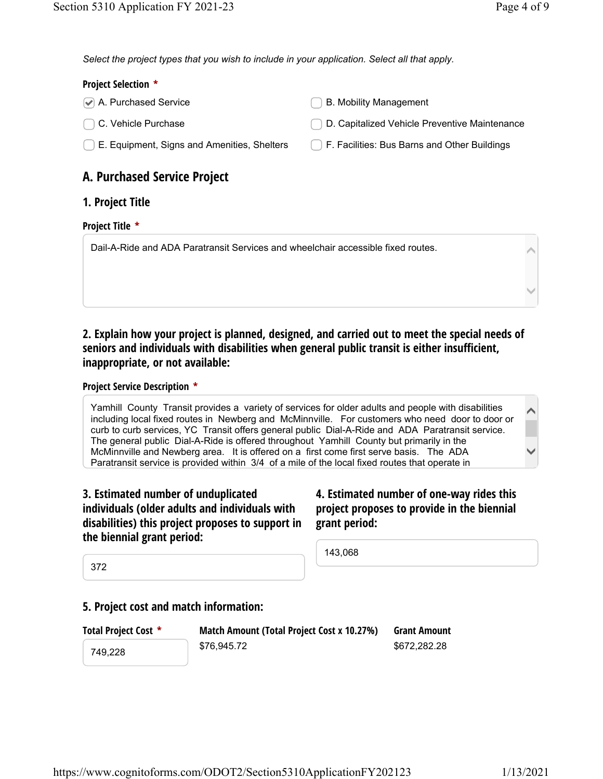$\blacktriangle$ 

 $\blacktriangledown$ 

Select the project types that you wish to include in your application. Select all that apply.

#### Project Selection \*

- A. Purchased Service **B. A. Purchased Service** B. Mobility Management
- 
- 
- **C. Vehicle Purchase C. Capitalized Vehicle Preventive Maintenance**
- $\bigcup$  E. Equipment, Signs and Amenities, Shelters  $\hspace{15pt} \bigcirc$  F. Facilities: Bus Barns and Other Buildings

# A. Purchased Service Project

#### 1. Project Title

#### Project Title \*

Dail-A-Ride and ADA Paratransit Services and wheelchair accessible fixed routes.

### 2. Explain how your project is planned, designed, and carried out to meet the special needs of seniors and individuals with disabilities when general public transit is either insufficient, inappropriate, or not available:

#### Project Service Description \*

 $\sim$  $\blacktriangledown$ Yamhill County Transit provides a variety of services for older adults and people with disabilities including local fixed routes in Newberg and McMinnville. For customers who need door to door or curb to curb services, YC Transit offers general public Dial-A-Ride and ADA Paratransit service. The general public Dial-A-Ride is offered throughout Yamhill County but primarily in the McMinnville and Newberg area. It is offered on a first come first serve basis. The ADA Paratransit service is provided within 3/4 of a mile of the local fixed routes that operate in

#### 3. Estimated number of unduplicated individuals (older adults and individuals with disabilities) this project proposes to support in the biennial grant period:

#### 4. Estimated number of one-way rides this project proposes to provide in the biennial grant period:

143,068

372

### 5. Project cost and match information:

Total Project Cost \* Match Amount (Total Project Cost x 10.27%) Grant Amount

749,228 \$76,945.72 \$672,282.28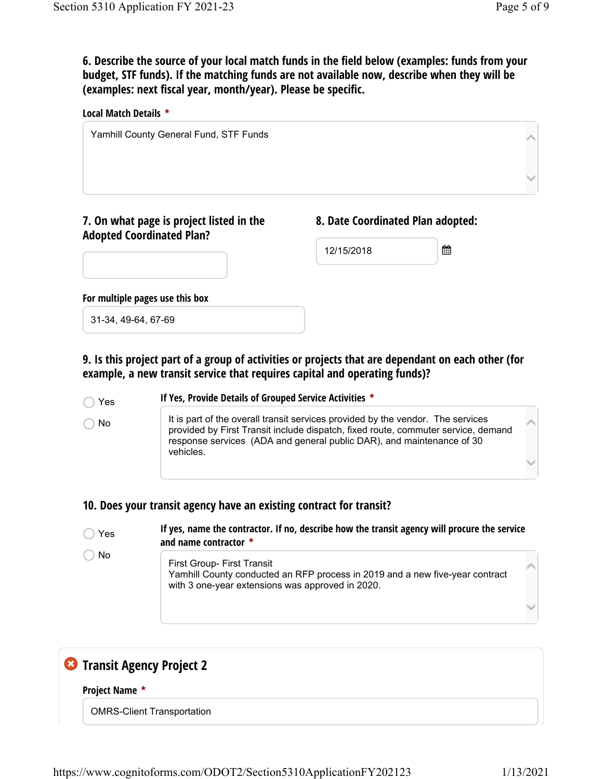6. Describe the source of your local match funds in the field below (examples: funds from your budget, STF funds). If the matching funds are not available now, describe when they will be (examples: next fiscal year, month/year). Please be specific.

| Local Match Details *                                                        |                                   |   |  |
|------------------------------------------------------------------------------|-----------------------------------|---|--|
| Yamhill County General Fund, STF Funds                                       |                                   |   |  |
|                                                                              |                                   |   |  |
| 7. On what page is project listed in the<br><b>Adopted Coordinated Plan?</b> | 8. Date Coordinated Plan adopted: |   |  |
|                                                                              | 12/15/2018                        | 雦 |  |
| For multiple pages use this box                                              |                                   |   |  |
| 31-34, 49-64, 67-69                                                          |                                   |   |  |

9. Is this project part of a group of activities or projects that are dependant on each other (for example, a new transit service that requires capital and operating funds)?

If Yes, Provide Details of Grouped Service Activities \* Yes No It is part of the overall transit services provided by the vendor. The services  $\blacktriangledown$ provided by First Transit include dispatch, fixed route, commuter service, demand response services (ADA and general public DAR), and maintenance of 30 vehicles.

#### 10. Does your transit agency have an existing contract for transit?

If yes, name the contractor. If no, describe how the transit agency will procure the service and name contractor \* Yes No  $\sim$  $\blacktriangledown$ First Group- First Transit Yamhill County conducted an RFP process in 2019 and a new five-year contract with 3 one-year extensions was approved in 2020.

# **Transit Agency Project 2**

#### Project Name \*

OMRS-Client Transportation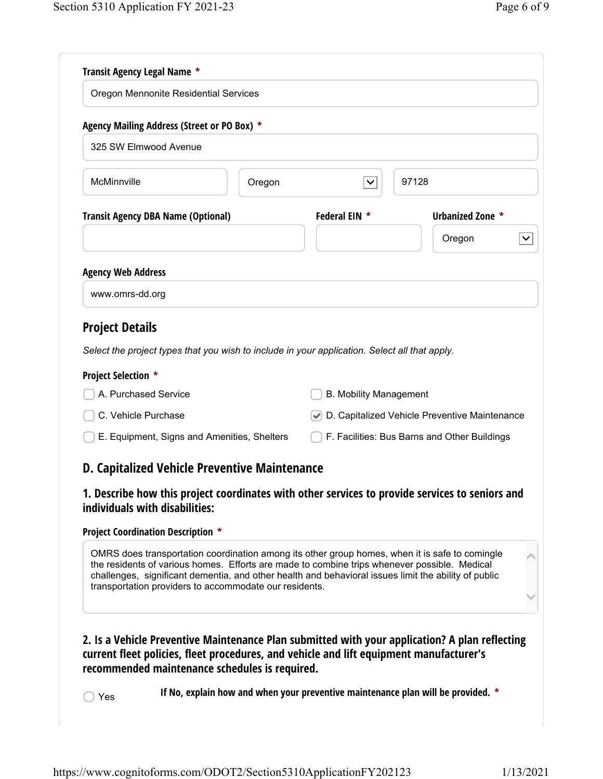| <b>Transit Agency Legal Name *</b>          |        |               |       |                  |  |
|---------------------------------------------|--------|---------------|-------|------------------|--|
| Oregon Mennonite Residential Services       |        |               |       |                  |  |
| Agency Mailing Address (Street or PO Box) * |        |               |       |                  |  |
| 325 SW Elmwood Avenue                       |        |               |       |                  |  |
| McMinnville                                 | Oregon | $\checkmark$  | 97128 |                  |  |
| <b>Transit Agency DBA Name (Optional)</b>   |        | Federal EIN * |       | Urbanized Zone * |  |
|                                             |        |               |       | Oregon           |  |
| <b>Agency Web Address</b>                   |        |               |       |                  |  |
| www.omrs-dd.org                             |        |               |       |                  |  |
|                                             |        |               |       |                  |  |

# Project Details

Select the project types that you wish to include in your application. Select all that apply.

#### Project Selection \*

| [ ] A. Purchased Service                    | <b>B. Mobility Management</b>                   |
|---------------------------------------------|-------------------------------------------------|
| C. Vehicle Purchase                         | ◯ D. Capitalized Vehicle Preventive Maintenance |
| E. Equipment, Signs and Amenities, Shelters | F. Facilities: Bus Barns and Other Buildings    |

#### D. Capitalized Vehicle Preventive Maintenance

#### 1. Describe how this project coordinates with other services to provide services to seniors and individuals with disabilities:

#### Project Coordination Description \*

OMRS does transportation coordination among its other group homes, when it is safe to comingle the residents of various homes. Efforts are made to combine trips whenever possible. Medical challenges, significant dementia, and other health and behavioral issues limit the ability of public transportation providers to accommodate our residents.

2. Is a Vehicle Preventive Maintenance Plan submitted with your application? A plan reflecting current fleet policies, fleet procedures, and vehicle and lift equipment manufacturer's recommended maintenance schedules is required.

◯ Yes

If No, explain how and when your preventive maintenance plan will be provided. \*

 $\blacktriangle$ 

 $\blacktriangledown$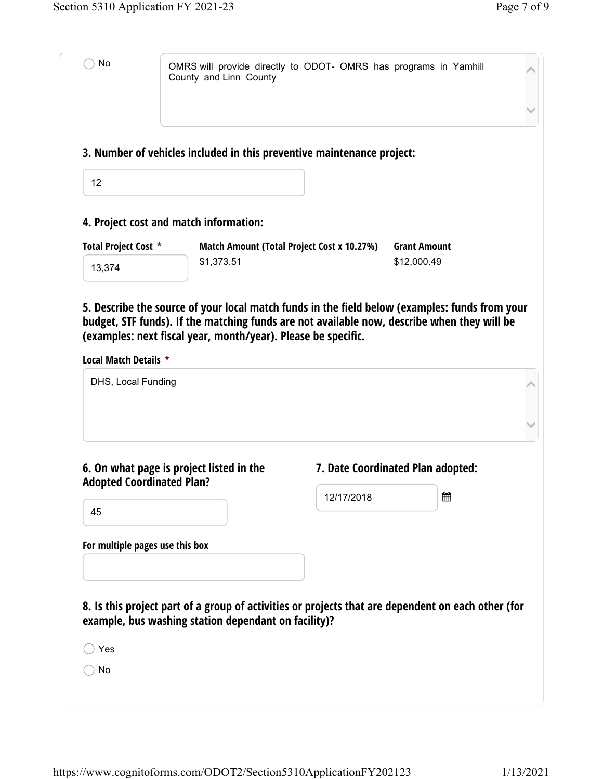3. Number of vehicles included in this preventive maintenance project: Total Project Cost \* Match Amount (Total Project Cost x 10.27%) Grant Amount 4. Project cost and match information: Local Match Details \* 5. Describe the source of your local match funds in the field below (examples: funds from your budget, STF funds). If the matching funds are not available now, describe when they will be (examples: next fiscal year, month/year). Please be specific. For multiple pages use this box 6. On what page is project listed in the Adopted Coordinated Plan? 7. Date Coordinated Plan adopted: 8. Is this project part of a group of activities or projects that are dependent on each other (for example, bus washing station dependant on facility)? No **OMRS will provide directly to ODOT- OMRS has programs in Yamhill**  $\blacktriangledown$ County and Linn County 12 13,374 \$1,373.51 \$1,373.51  $\wedge$  $\blacktriangledown$ DHS, Local Funding 45 12/17/2018 | 簂 Yes  $\bigcirc$  No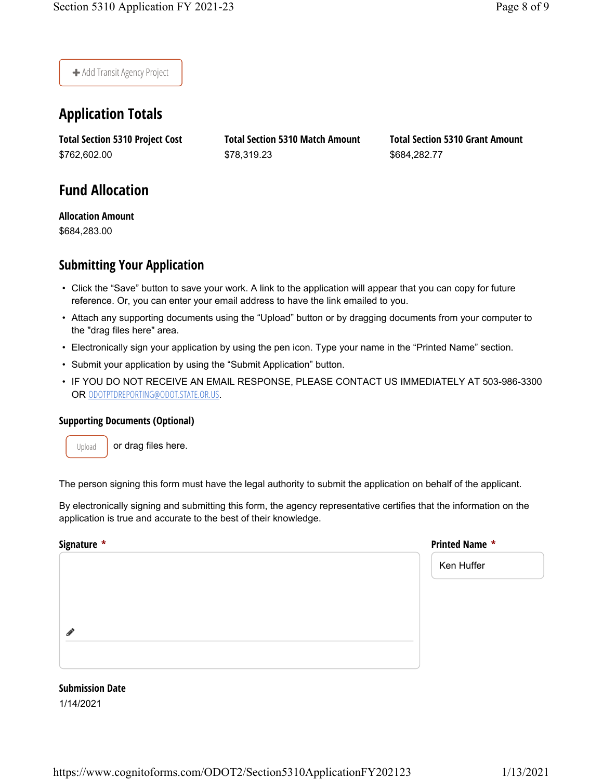Add Transit Agency Project

# Application Totals

Total Section 5310 Project Cost Total Section 5310 Match Amount Total Section 5310 Grant Amount \$762,602.00 \$78,319.23 \$684,282.77

# Fund Allocation

Allocation Amount \$684,283.00

# Submitting Your Application

- Click the "Save" button to save your work. A link to the application will appear that you can copy for future reference. Or, you can enter your email address to have the link emailed to you.
- Attach any supporting documents using the "Upload" button or by dragging documents from your computer to the "drag files here" area.
- Electronically sign your application by using the pen icon. Type your name in the "Printed Name" section.
- Submit your application by using the "Submit Application" button.
- IF YOU DO NOT RECEIVE AN EMAIL RESPONSE, PLEASE CONTACT US IMMEDIATELY AT 503-986-3300 OR ODOTPTDREPORTING@ODOT.STATE.OR.US.

#### Supporting Documents (Optional)

Upload | or drag files here.

The person signing this form must have the legal authority to submit the application on behalf of the applicant.

By electronically signing and submitting this form, the agency representative certifies that the information on the application is true and accurate to the best of their knowledge.

#### Signature \*

◢

Printed Name \*

Ken Huffer

Submission Date 1/14/2021